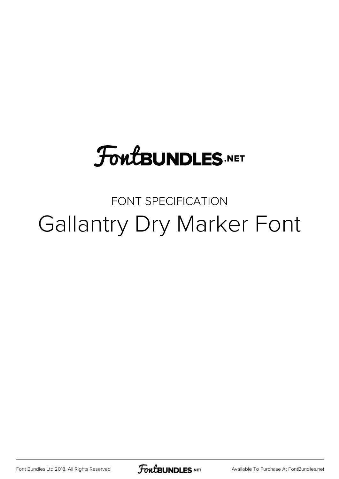# **FoutBUNDLES.NET**

## FONT SPECIFICATION Gallantry Dry Marker Font

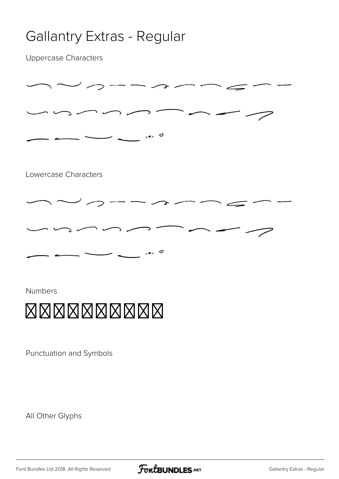## Gallantry Extras - Regular

Uppercase Characters





uvwxyz

#### Numbers



Punctuation and Symbols

All Other Glyphs

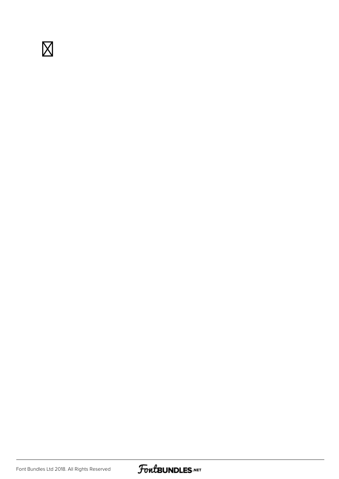

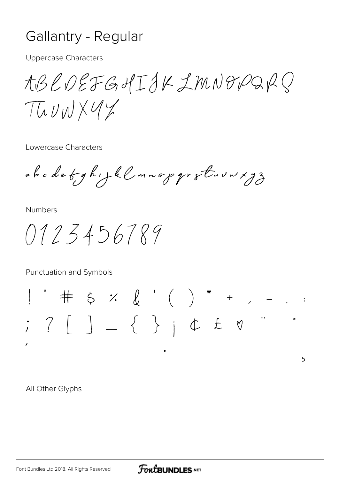### Gallantry - Regular

**Uppercase Characters** 

ABCDEFGHIJK LMNOPQRQ TUUNXUY

Lowercase Characters

abcdetghijklmnopgrstuvwxgz

**Numbers** 

0123456789

Punctuation and Symbols

; ? [ ]  $-$  { } ;  $\phi$   $f$   $\gamma$  "  $\overline{b}$ 

All Other Glyphs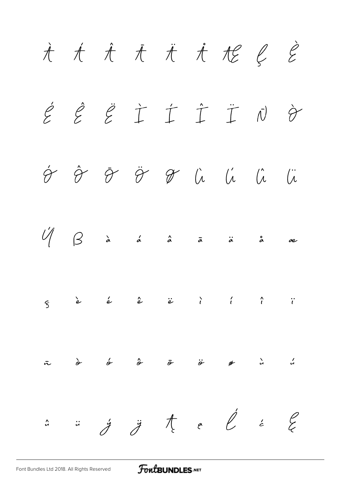

#### [Font Bundles Ltd 2018. All Rights Reserved](https://fontbundles.net/)

FoutBUNDLES.NET